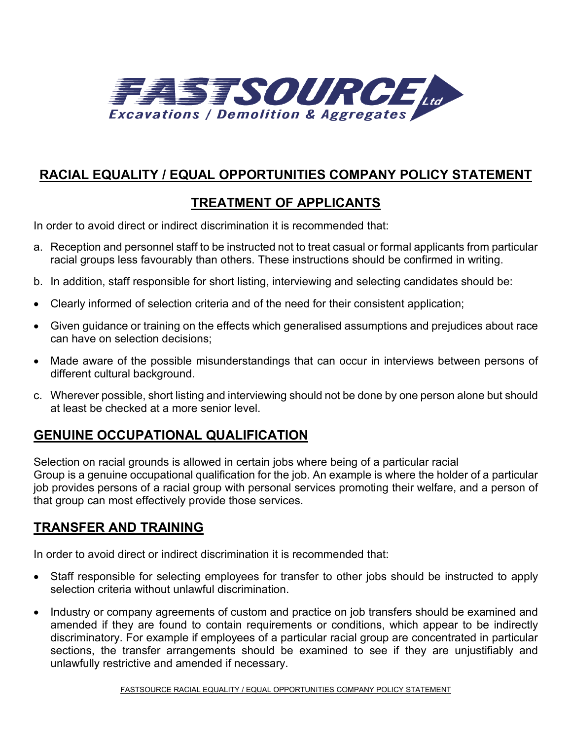

# **RACIAL EQUALITY / EQUAL OPPORTUNITIES COMPANY POLICY STATEMENT**

## **TREATMENT OF APPLICANTS**

In order to avoid direct or indirect discrimination it is recommended that:

- a. Reception and personnel staff to be instructed not to treat casual or formal applicants from particular racial groups less favourably than others. These instructions should be confirmed in writing.
- b. In addition, staff responsible for short listing, interviewing and selecting candidates should be:
- Clearly informed of selection criteria and of the need for their consistent application;
- Given guidance or training on the effects which generalised assumptions and prejudices about race can have on selection decisions;
- Made aware of the possible misunderstandings that can occur in interviews between persons of different cultural background.
- c. Wherever possible, short listing and interviewing should not be done by one person alone but should at least be checked at a more senior level.

### **GENUINE OCCUPATIONAL QUALIFICATION**

Selection on racial grounds is allowed in certain jobs where being of a particular racial Group is a genuine occupational qualification for the job. An example is where the holder of a particular job provides persons of a racial group with personal services promoting their welfare, and a person of that group can most effectively provide those services.

### **TRANSFER AND TRAINING**

In order to avoid direct or indirect discrimination it is recommended that:

- Staff responsible for selecting employees for transfer to other jobs should be instructed to apply selection criteria without unlawful discrimination.
- Industry or company agreements of custom and practice on job transfers should be examined and amended if they are found to contain requirements or conditions, which appear to be indirectly discriminatory. For example if employees of a particular racial group are concentrated in particular sections, the transfer arrangements should be examined to see if they are unjustifiably and unlawfully restrictive and amended if necessary.